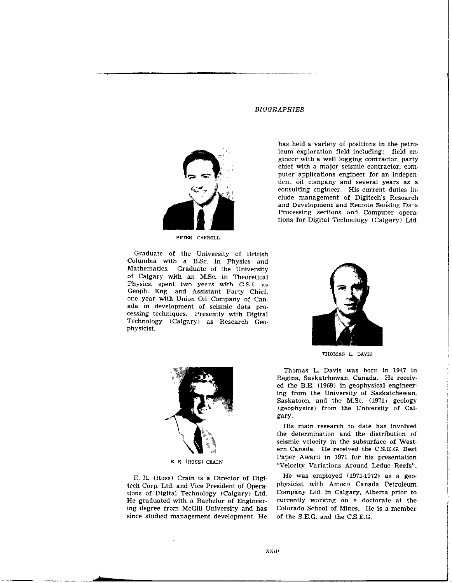PETER CARROLL

Graduate of the University of British Columbia with a BSc. in Physics and Mathematics. Graduate of the University of Calgary with an MSc. in Theoretical Physics, spent two years with G.S.I. as Geoph. Eng. and Assistant Party Chief, one year with Union Oil Company of Can. ada in development of seismic data pro. cessing techniques. Presently with Digital Technology (Calgary) as Research Geophysicist.

## **BIOGRAPHIES**

has held a variety of positions in the petroleum exploration field including: field engineer with a well logging contractor. party chief with a major seismic contractor, computer applications engineer for an independent oil company and several years as a consulting engineer. His current duties in. elude management of Digitech's Research and Development and Remote Sensing Data Processing sections and Computer operations for Digital Technology (Calgary) Ltd.



THOMAS L. DAVIS

Thomas L. Davis was born in 1947 in Regina. Saskatchewan, Canada. He received the B.E.  $(1969)$  in geophysical engineering from the University of Saskatchewan, Saskatoon, and the M.Sc. (1971) geology (geophysics) from the University of Calgary.

His main research to date has involved the determination and the distribution of seismic velocity in the subsurface of Western Canada. He received the C.S.E.G. Best Paper Award in 1971 for his presentation "Velocity Variations Around Leduc Reefs".

He was employed (1971-1972) as a geophysicist with Amoco Canada Petroleum Company Ltd. in Calgary, Alberta prior to currently working on a doctorate at the Colorado School of Mines. He is a member of the S.E.G. and the C.S.E.G.



E. R. (ROSS) GRAIN

E. R. (Ross) Grain is a Director of Digitech Corp. Ltd. and Vice President of Opera. tions of Digital Technology (Calgary) Ltd. He graduated with a Bachelor of Engineering degree from McGill University and has since studied management development. He